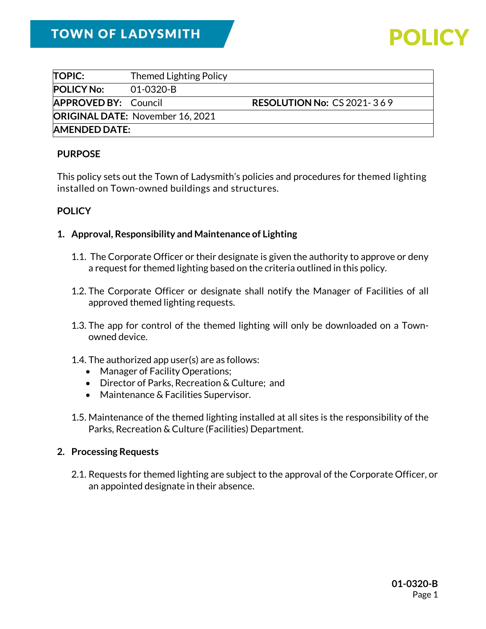| <b>TOPIC:</b>                           | <b>Themed Lighting Policy</b> |                                   |
|-----------------------------------------|-------------------------------|-----------------------------------|
| <b>POLICY No:</b>                       | 01-0320-B                     |                                   |
| <b>APPROVED BY: Council</b>             |                               | <b>RESOLUTION No: CS 2021-369</b> |
| <b>ORIGINAL DATE: November 16, 2021</b> |                               |                                   |
| <b>AMENDED DATE:</b>                    |                               |                                   |

### **PURPOSE**

This policy sets out the Town of Ladysmith's policies and procedures for themed lighting installed on Town-owned buildings and structures.

### **POLICY**

#### **1. Approval, Responsibility and Maintenance of Lighting**

- 1.1. The Corporate Officer or their designate is given the authority to approve or deny a request for themed lighting based on the criteria outlined in this policy.
- 1.2. The Corporate Officer or designate shall notify the Manager of Facilities of all approved themed lighting requests.
- 1.3. The app for control of the themed lighting will only be downloaded on a Townowned device.
- 1.4. The authorized app user(s) are as follows:
	- Manager of Facility Operations;
	- Director of Parks, Recreation & Culture; and
	- Maintenance & Facilities Supervisor.
- 1.5. Maintenance of the themed lighting installed at all sites is the responsibility of the Parks, Recreation & Culture (Facilities) Department.

### **2. Processing Requests**

2.1. Requests for themed lighting are subject to the approval of the Corporate Officer, or an appointed designate in their absence.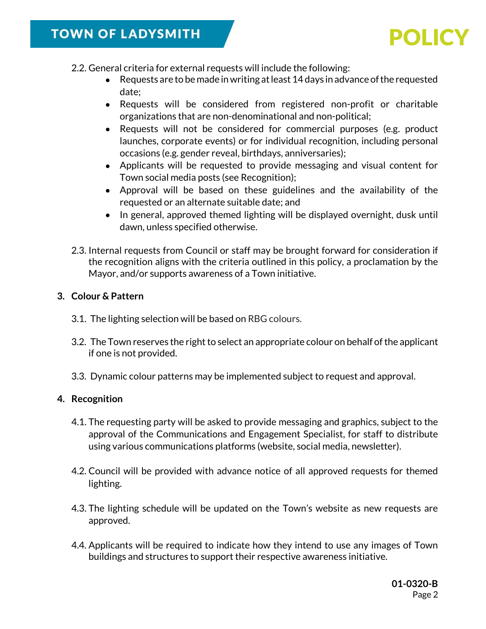- 2.2. General criteria for external requests will include the following:
	- Requests are to be made in writing at least 14 days in advance of the requested date;
	- Requests will be considered from registered non-profit or charitable organizations that are non-denominational and non-political;
	- Requests will not be considered for commercial purposes (e.g. product launches, corporate events) or for individual recognition, including personal occasions (e.g. gender reveal, birthdays, anniversaries);
	- Applicants will be requested to provide messaging and visual content for Town social media posts (see Recognition);
	- Approval will be based on these guidelines and the availability of the requested or an alternate suitable date; and
	- In general, approved themed lighting will be displayed overnight, dusk until dawn, unless specified otherwise.
- 2.3. Internal requests from Council or staff may be brought forward for consideration if the recognition aligns with the criteria outlined in this policy, a proclamation by the Mayor, and/or supports awareness of a Town initiative.

## **3. Colour & Pattern**

- 3.1. The lighting selection will be based on RBG colours.
- 3.2. The Town reserves the right to select an appropriate colour on behalf of the applicant if one is not provided.
- 3.3. Dynamic colour patterns may be implemented subject to request and approval.

## **4. Recognition**

- 4.1. The requesting party will be asked to provide messaging and graphics, subject to the approval of the Communications and Engagement Specialist, for staff to distribute using various communications platforms (website, social media, newsletter).
- 4.2. Council will be provided with advance notice of all approved requests for themed lighting.
- 4.3. The lighting schedule will be updated on the Town's website as new requests are approved.
- 4.4. Applicants will be required to indicate how they intend to use any images of Town buildings and structures to support their respective awareness initiative.